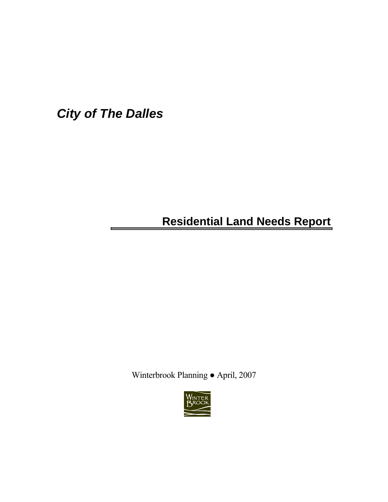*City of The Dalles*

# **Residential Land Needs Report**

Winterbrook Planning ● April, 2007

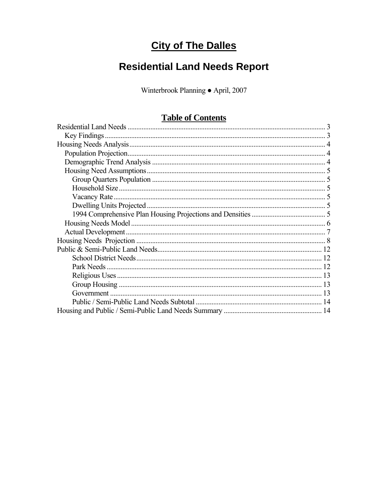# **City of The Dalles**

# **Residential Land Needs Report**

Winterbrook Planning · April, 2007

# **Table of Contents**

| <b>THAME OF COMMUNIST</b> |
|---------------------------|
|                           |
|                           |
|                           |
|                           |
|                           |
|                           |
|                           |
|                           |
|                           |
|                           |
|                           |
|                           |
|                           |
|                           |
|                           |
|                           |
|                           |
|                           |
|                           |
|                           |
|                           |
|                           |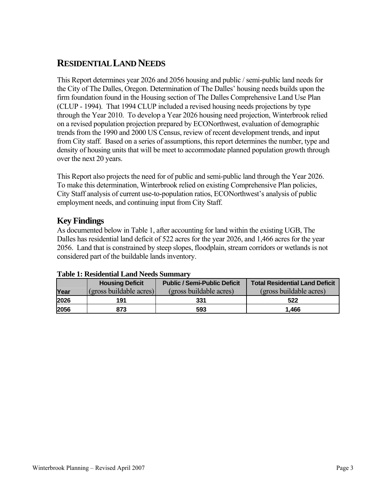# <span id="page-2-0"></span>**RESIDENTIAL LAND NEEDS**

This Report determines year 2026 and 2056 housing and public / semi-public land needs for the City of The Dalles, Oregon. Determination of The Dalles' housing needs builds upon the firm foundation found in the Housing section of The Dalles Comprehensive Land Use Plan (CLUP - 1994). That 1994 CLUP included a revised housing needs projections by type through the Year 2010. To develop a Year 2026 housing need projection, Winterbrook relied on a revised population projection prepared by ECONorthwest, evaluation of demographic trends from the 1990 and 2000 US Census, review of recent development trends, and input from City staff. Based on a series of assumptions, this report determines the number, type and density of housing units that will be meet to accommodate planned population growth through over the next 20 years.

This Report also projects the need for of public and semi-public land through the Year 2026. To make this determination, Winterbrook relied on existing Comprehensive Plan policies, City Staff analysis of current use-to-population ratios, ECONorthwest's analysis of public employment needs, and continuing input from City Staff.

# **Key Findings**

As documented below in Table 1, after accounting for land within the existing UGB, The Dalles has residential land deficit of 522 acres for the year 2026, and 1,466 acres for the year 2056. Land that is constrained by steep slopes, floodplain, stream corridors or wetlands is not considered part of the buildable lands inventory.

|       | <b>Housing Deficit</b>  | <b>Public / Semi-Public Deficit</b> | <b>Total Residential Land Deficit</b> |
|-------|-------------------------|-------------------------------------|---------------------------------------|
| Year  | (gross buildable acres) | (gross buildable acres)             | (gross buildable acres)               |
| 2026  | 191                     | 331                                 | 522                                   |
| 12056 | 873                     | 593                                 | 1.466                                 |

#### **Table 1: Residential Land Needs Summary**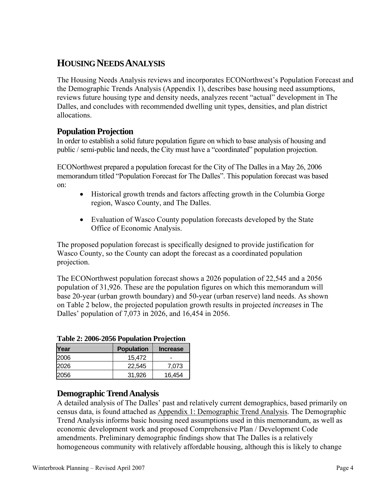# <span id="page-3-0"></span>**HOUSING NEEDS ANALYSIS**

The Housing Needs Analysis reviews and incorporates ECONorthwest's Population Forecast and the Demographic Trends Analysis (Appendix 1), describes base housing need assumptions, reviews future housing type and density needs, analyzes recent "actual" development in The Dalles, and concludes with recommended dwelling unit types, densities, and plan district allocations.

# **Population Projection**

In order to establish a solid future population figure on which to base analysis of housing and public / semi-public land needs, the City must have a "coordinated" population projection.

ECONorthwest prepared a population forecast for the City of The Dalles in a May 26, 2006 memorandum titled "Population Forecast for The Dalles". This population forecast was based on:

- Historical growth trends and factors affecting growth in the Columbia Gorge region, Wasco County, and The Dalles.
- Evaluation of Wasco County population forecasts developed by the State Office of Economic Analysis.

The proposed population forecast is specifically designed to provide justification for Wasco County, so the County can adopt the forecast as a coordinated population projection.

The ECONorthwest population forecast shows a 2026 population of 22,545 and a 2056 population of 31,926. These are the population figures on which this memorandum will base 20-year (urban growth boundary) and 50-year (urban reserve) land needs. As shown on Table 2 below, the projected population growth results in projected *increases* in The Dalles' population of 7,073 in 2026, and 16,454 in 2056.

| Table 2. 2000-2030 I opulation I Folection |                   |                 |  |  |  |
|--------------------------------------------|-------------------|-----------------|--|--|--|
| Year                                       | <b>Population</b> | <b>Increase</b> |  |  |  |
| 2006                                       | 15,472            |                 |  |  |  |
| 2026                                       | 22.545            | 7.073           |  |  |  |
| 2056                                       | 31,926            | 16,454          |  |  |  |

## **Table 2: 2006-2056 Population Projection**

# **Demographic Trend Analysis**

A detailed analysis of The Dalles' past and relatively current demographics, based primarily on census data, is found attached as Appendix 1: Demographic Trend Analysis. The Demographic Trend Analysis informs basic housing need assumptions used in this memorandum, as well as economic development work and proposed Comprehensive Plan / Development Code amendments. Preliminary demographic findings show that The Dalles is a relatively homogeneous community with relatively affordable housing, although this is likely to change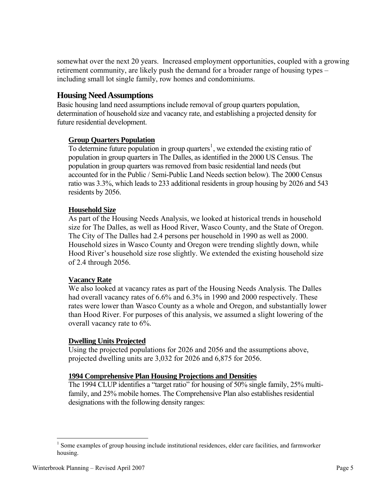<span id="page-4-0"></span>somewhat over the next 20 years. Increased employment opportunities, coupled with a growing retirement community, are likely push the demand for a broader range of housing types – including small lot single family, row homes and condominiums.

## **Housing Need Assumptions**

Basic housing land need assumptions include removal of group quarters population, determination of household size and vacancy rate, and establishing a projected density for future residential development.

## **Group Quarters Population**

To determine future population in group quarters<sup>[1](#page-4-1)</sup>, we extended the existing ratio of population in group quarters in The Dalles, as identified in the 2000 US Census. The population in group quarters was removed from basic residential land needs (but accounted for in the Public / Semi-Public Land Needs section below). The 2000 Census ratio was 3.3%, which leads to 233 additional residents in group housing by 2026 and 543 residents by 2056.

#### **Household Size**

As part of the Housing Needs Analysis, we looked at historical trends in household size for The Dalles, as well as Hood River, Wasco County, and the State of Oregon. The City of The Dalles had 2.4 persons per household in 1990 as well as 2000. Household sizes in Wasco County and Oregon were trending slightly down, while Hood River's household size rose slightly. We extended the existing household size of 2.4 through 2056.

#### **Vacancy Rate**

We also looked at vacancy rates as part of the Housing Needs Analysis. The Dalles had overall vacancy rates of 6.6% and 6.3% in 1990 and 2000 respectively. These rates were lower than Wasco County as a whole and Oregon, and substantially lower than Hood River. For purposes of this analysis, we assumed a slight lowering of the overall vacancy rate to 6%.

#### **Dwelling Units Projected**

Using the projected populations for 2026 and 2056 and the assumptions above, projected dwelling units are 3,032 for 2026 and 6,875 for 2056.

## **1994 Comprehensive Plan Housing Projections and Densities**

The 1994 CLUP identifies a "target ratio" for housing of 50% single family, 25% multifamily, and 25% mobile homes. The Comprehensive Plan also establishes residential designations with the following density ranges:

<span id="page-4-1"></span><sup>&</sup>lt;sup>1</sup> Some examples of group housing include institutional residences, elder care facilities, and farmworker housing.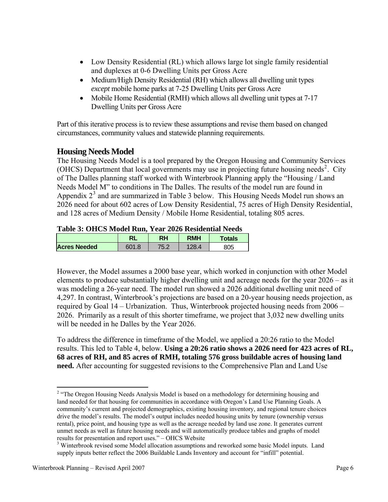- <span id="page-5-0"></span>• Low Density Residential (RL) which allows large lot single family residential and duplexes at 0-6 Dwelling Units per Gross Acre
- Medium/High Density Residential (RH) which allows all dwelling unit types *except* mobile home parks at 7-25 Dwelling Units per Gross Acre
- Mobile Home Residential (RMH) which allows all dwelling unit types at 7-17 Dwelling Units per Gross Acre

Part of this iterative process is to review these assumptions and revise them based on changed circumstances, community values and statewide planning requirements.

# **Housing Needs Model**

The Housing Needs Model is a tool prepared by the Oregon Housing and Community Services (OHCS) Department that local governments may use in projecting future housing needs<sup>[2](#page-5-1)</sup>. City of The Dalles planning staff worked with Winterbrook Planning apply the "Housing / Land Needs Model M" to conditions in The Dalles. The results of the model run are found in Appendix  $2<sup>3</sup>$  $2<sup>3</sup>$  $2<sup>3</sup>$  and are summarized in Table 3 below. This Housing Needs Model run shows an 2026 need for about 602 acres of Low Density Residential, 75 acres of High Density Residential, and 128 acres of Medium Density / Mobile Home Residential, totaling 805 acres.

## **Table 3: OHCS Model Run, Year 2026 Residential Needs**

|                     | RL    | RH   | <b>RMH</b> | <b>Totals</b> |
|---------------------|-------|------|------------|---------------|
| <b>Acres Needed</b> | 601.8 | 75.2 | 28.4       | 805           |

However, the Model assumes a 2000 base year, which worked in conjunction with other Model elements to produce substantially higher dwelling unit and acreage needs for the year 2026 – as it was modeling a 26-year need. The model run showed a 2026 additional dwelling unit need of 4,297. In contrast, Winterbrook's projections are based on a 20-year housing needs projection, as required by Goal 14 – Urbanization. Thus, Winterbrook projected housing needs from 2006 – 2026. Primarily as a result of this shorter timeframe, we project that 3,032 new dwelling units will be needed in he Dalles by the Year 2026.

To address the difference in timeframe of the Model, we applied a 20:26 ratio to the Model results. This led to Table 4, below. **Using a 20:26 ratio shows a 2026 need for 423 acres of RL, 68 acres of RH, and 85 acres of RMH, totaling 576 gross buildable acres of housing land need.** After accounting for suggested revisions to the Comprehensive Plan and Land Use

 $\overline{a}$ 

<span id="page-5-1"></span><sup>&</sup>lt;sup>2</sup> "The Oregon Housing Needs Analysis Model is based on a methodology for determining housing and land needed for that housing for communities in accordance with Oregon's Land Use Planning Goals. A community's current and projected demographics, existing housing inventory, and regional tenure choices drive the model's results. The model's output includes needed housing units by tenure (ownership versus rental), price point, and housing type as well as the acreage needed by land use zone. It generates current unmet needs as well as future housing needs and will automatically produce tables and graphs of model results for presentation and report uses." – OHCS Website

<span id="page-5-2"></span><sup>&</sup>lt;sup>3</sup> Winterbrook revised some Model allocation assumptions and reworked some basic Model inputs. Land supply inputs better reflect the 2006 Buildable Lands Inventory and account for "infill" potential.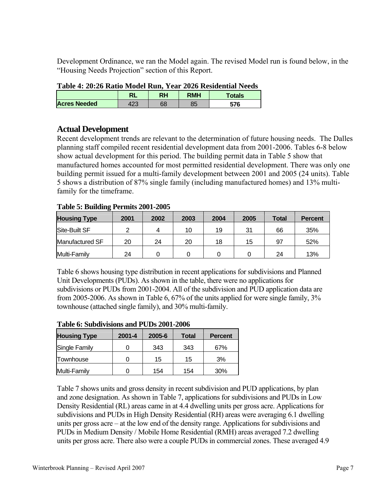<span id="page-6-0"></span>Development Ordinance, we ran the Model again. The revised Model run is found below, in the "Housing Needs Projection" section of this Report.

| Table 4: 20:20 Rauo Model Run, Year 2020 Residential Needs |     |    |            |        |  |
|------------------------------------------------------------|-----|----|------------|--------|--|
|                                                            |     | RH | <b>RMH</b> | Totals |  |
| <b>Acres Needed</b>                                        | 423 | 68 | 85         | 576    |  |

# **Table 4: 20:26 Ratio Model Run, Year 2026 Residential Needs**

# **Actual Development**

Recent development trends are relevant to the determination of future housing needs. The Dalles planning staff compiled recent residential development data from 2001-2006. Tables 6-8 below show actual development for this period. The building permit data in Table 5 show that manufactured homes accounted for most permitted residential development. There was only one building permit issued for a multi-family development between 2001 and 2005 (24 units). Table 5 shows a distribution of 87% single family (including manufactured homes) and 13% multifamily for the timeframe.

| <b>Housing Type</b> | 2001 | 2002 | 2003 | 2004 | 2005 | <b>Total</b> | <b>Percent</b> |
|---------------------|------|------|------|------|------|--------------|----------------|
| Site-Built SF       |      |      | 10   | 19   | 31   | 66           | 35%            |
| Manufactured SF     | 20   | 24   | 20   | 18   | 15   | 97           | 52%            |
| Multi-Family        | 24   |      |      |      |      | 24           | 13%            |

## **Table 5: Building Permits 2001-2005**

Table 6 shows housing type distribution in recent applications for subdivisions and Planned Unit Developments (PUDs). As shown in the table, there were no applications for subdivisions or PUDs from 2001-2004. All of the subdivision and PUD application data are from 2005-2006. As shown in Table 6, 67% of the units applied for were single family, 3% townhouse (attached single family), and 30% multi-family.

| <b>Housing Type</b> | $2001 - 4$ | 2005-6 | Total | <b>Percent</b> |  |  |  |
|---------------------|------------|--------|-------|----------------|--|--|--|
| Single Family       |            | 343    | 343   | 67%            |  |  |  |
| Townhouse           |            | 15     | 15    | 3%             |  |  |  |
| Multi-Family        |            | 154    | 154   | 30%            |  |  |  |

#### **Table 6: Subdivisions and PUDs 2001-2006**

Table 7 shows units and gross density in recent subdivision and PUD applications, by plan and zone designation. As shown in Table 7, applications for subdivisions and PUDs in Low Density Residential (RL) areas came in at 4.4 dwelling units per gross acre. Applications for subdivisions and PUDs in High Density Residential (RH) areas were averaging 6.1 dwelling units per gross acre – at the low end of the density range. Applications for subdivisions and PUDs in Medium Density / Mobile Home Residential (RMH) areas averaged 7.2 dwelling units per gross acre. There also were a couple PUDs in commercial zones. These averaged 4.9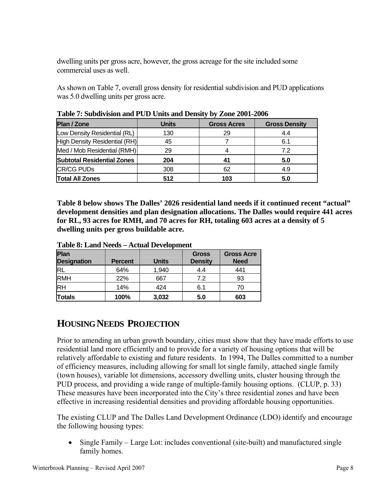<span id="page-7-0"></span>dwelling units per gross acre, however, the gross acreage for the site included some commercial uses as well.

As shown on Table 7, overall gross density for residential subdivision and PUD applications was 5.0 dwelling units per gross acre.

| <b>Plan / Zone</b>                | <b>Units</b> | <b>Gross Acres</b> | <b>Gross Density</b> |
|-----------------------------------|--------------|--------------------|----------------------|
| Low Density Residential (RL)      | 130          | 29                 | 4.4                  |
| High Density Residential (RH)     | 45           |                    | 6.1                  |
| Med / Mob Residential (RMH)       | 29           |                    | 7.2                  |
| <b>Subtotal Residential Zones</b> | 204          |                    | 5.0                  |
| <b>CR/CG PUDs</b>                 | 308          | 62                 | 4.9                  |
| <b>Total All Zones</b>            | 512          | 103                | 5.0                  |

**Table 7: Subdivision and PUD Units and Density by Zone 2001-2006** 

**Table 8 below shows The Dalles' 2026 residential land needs if it continued recent "actual" development densities and plan designation allocations. The Dalles would require 441 acres for RL, 93 acres for RMH, and 70 acres for RH, totaling 603 acres at a density of 5 dwelling units per gross buildable acre.** 

| Plan<br><b>Designation</b> | <b>Percent</b> | <b>Units</b> | <b>Gross</b><br><b>Density</b> | <b>Gross Acre</b><br><b>Need</b> |
|----------------------------|----------------|--------------|--------------------------------|----------------------------------|
| IRL                        | 64%            | 1,940        | 4.4                            | 441                              |
| <b>RMH</b>                 | 22%            | 667          | 7.2                            | 93                               |
| <b>RH</b>                  | 14%            | 424          | 6.1                            | 70                               |
| <b>Totals</b>              | 100%           | 3,032        | 5.0                            | 603                              |

**Table 8: Land Needs – Actual Development** 

# **HOUSING NEEDS PROJECTION**

Prior to amending an urban growth boundary, cities must show that they have made efforts to use residential land more efficiently and to provide for a variety of housing options that will be relatively affordable to existing and future residents. In 1994, The Dalles committed to a number of efficiency measures, including allowing for small lot single family, attached single family (town houses), variable lot dimensions, accessory dwelling units, cluster housing through the PUD process, and providing a wide range of multiple-family housing options. (CLUP, p. 33) These measures have been incorporated into the City's three residential zones and have been effective in increasing residential densities and providing affordable housing opportunities.

The existing CLUP and The Dalles Land Development Ordinance (LDO) identify and encourage the following housing types:

• Single Family – Large Lot: includes conventional (site-built) and manufactured single family homes.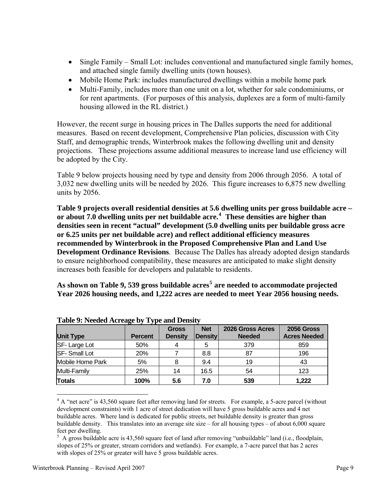- Single Family Small Lot: includes conventional and manufactured single family homes, and attached single family dwelling units (town houses).
- Mobile Home Park: includes manufactured dwellings within a mobile home park
- Multi-Family, includes more than one unit on a lot, whether for sale condominiums, or for rent apartments. (For purposes of this analysis, duplexes are a form of multi-family housing allowed in the RL district.)

However, the recent surge in housing prices in The Dalles supports the need for additional measures. Based on recent development, Comprehensive Plan policies, discussion with City Staff, and demographic trends, Winterbrook makes the following dwelling unit and density projections. These projections assume additional measures to increase land use efficiency will be adopted by the City.

Table 9 below projects housing need by type and density from 2006 through 2056. A total of 3,032 new dwelling units will be needed by 2026. This figure increases to 6,875 new dwelling units by 2056.

**Table 9 projects overall residential densities at 5.6 dwelling units per gross buildable acre – or about 7.0 dwelling units per net buildable acre.[4](#page-8-0) These densities are higher than densities seen in recent "actual" development (5.0 dwelling units per buildable gross acre or 6.25 units per net buildable acre) and reflect additional efficiency measures recommended by Winterbrook in the Proposed Comprehensive Plan and Land Use Development Ordinance Revisions**. Because The Dalles has already adopted design standards to ensure neighborhood compatibility, these measures are anticipated to make slight density increases both feasible for developers and palatable to residents.

**As shown on Table 9, 539 gross buildable acres[5](#page-8-1) are needed to accommodate projected Year 2026 housing needs, and 1,222 acres are needed to meet Year 2056 housing needs.** 

| <b>Unit Type</b>        | <b>Percent</b> | <b>Gross</b><br><b>Density</b> | <b>Net</b><br><b>Density</b> | 2026 Gross Acres<br><b>Needed</b> | <b>2056 Gross</b><br><b>Acres Needed</b> |
|-------------------------|----------------|--------------------------------|------------------------------|-----------------------------------|------------------------------------------|
| SF-Large Lot            | 50%            |                                | 5                            | 379                               | 859                                      |
| <b>SF-Small Lot</b>     | 20%            |                                | 8.8                          | 87                                | 196                                      |
| <b>Mobile Home Park</b> | 5%             | 8                              | 9.4                          | 19                                | 43                                       |
| Multi-Family            | 25%            | 14                             | 16.5                         | 54                                | 123                                      |
| <b>Totals</b>           | 100%           | 5.6                            | 7.0                          | 539                               | 1,222                                    |

**Table 9: Needed Acreage by Type and Density** 

<span id="page-8-0"></span><sup>4</sup> A "net acre" is 43,560 square feet after removing land for streets. For example, a 5-acre parcel (without development constraints) with 1 acre of street dedication will have 5 gross buildable acres and 4 net buildable acres. Where land is dedicated for public streets, net buildable density is greater than gross buildable density. This translates into an average site size – for all housing types – of about 6,000 square feet per dwelling.

 $\overline{a}$ 

<span id="page-8-1"></span> $5$  A gross buildable acre is 43,560 square feet of land after removing "unbuildable" land (i.e., floodplain, slopes of 25% or greater, stream corridors and wetlands). For example, a 7-acre parcel that has 2 acres with slopes of 25% or greater will have 5 gross buildable acres.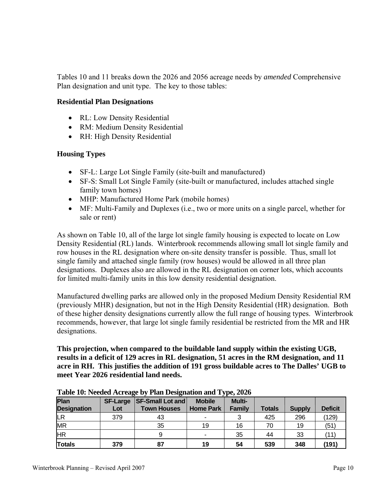Tables 10 and 11 breaks down the 2026 and 2056 acreage needs by *amended* Comprehensive Plan designation and unit type. The key to those tables:

### **Residential Plan Designations**

- RL: Low Density Residential
- RM: Medium Density Residential
- RH: High Density Residential

## **Housing Types**

- SF-L: Large Lot Single Family (site-built and manufactured)
- SF-S: Small Lot Single Family (site-built or manufactured, includes attached single family town homes)
- MHP: Manufactured Home Park (mobile homes)
- MF: Multi-Family and Duplexes (i.e., two or more units on a single parcel, whether for sale or rent)

As shown on Table 10, all of the large lot single family housing is expected to locate on Low Density Residential (RL) lands. Winterbrook recommends allowing small lot single family and row houses in the RL designation where on-site density transfer is possible. Thus, small lot single family and attached single family (row houses) would be allowed in all three plan designations. Duplexes also are allowed in the RL designation on corner lots, which accounts for limited multi-family units in this low density residential designation.

Manufactured dwelling parks are allowed only in the proposed Medium Density Residential RM (previously MHR) designation, but not in the High Density Residential (HR) designation. Both of these higher density designations currently allow the full range of housing types. Winterbrook recommends, however, that large lot single family residential be restricted from the MR and HR designations.

**This projection, when compared to the buildable land supply within the existing UGB, results in a deficit of 129 acres in RL designation, 51 acres in the RM designation, and 11 acre in RH. This justifies the addition of 191 gross buildable acres to The Dalles' UGB to meet Year 2026 residential land needs.** 

| <b>Plan</b><br><b>Designation</b> | <b>SF-Large</b><br>Lot | <b>SF-Small Lot and</b><br><b>Town Houses</b> | <b>Mobile</b><br><b>Home Park</b> | <b>Multi-</b><br><b>Family</b> | <b>Totals</b> | <b>Supply</b> | <b>Deficit</b> |
|-----------------------------------|------------------------|-----------------------------------------------|-----------------------------------|--------------------------------|---------------|---------------|----------------|
| LR                                | 379                    | 43                                            |                                   |                                | 425           | 296           | (129)          |
| <b>MR</b>                         |                        | 35                                            | 19                                | 16                             | 70            | 19            | (51)           |
| <b>IHR</b>                        |                        |                                               | $\overline{\phantom{0}}$          | 35                             | 44            | 33            |                |
| <b>Totals</b>                     | 379                    | 87                                            | 19                                | 54                             | 539           | 348           | (191           |

**Table 10: Needed Acreage by Plan Designation and Type, 2026**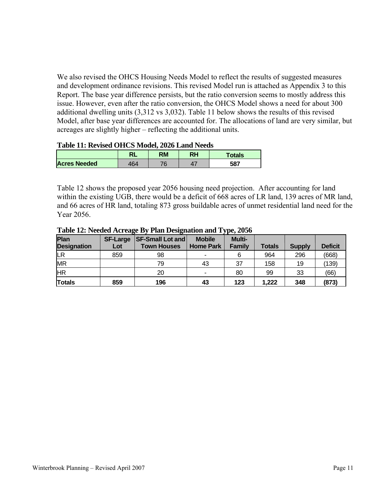We also revised the OHCS Housing Needs Model to reflect the results of suggested measures and development ordinance revisions. This revised Model run is attached as Appendix 3 to this Report. The base year difference persists, but the ratio conversion seems to mostly address this issue. However, even after the ratio conversion, the OHCS Model shows a need for about 300 additional dwelling units (3,312 vs 3,032). Table 11 below shows the results of this revised Model, after base year differences are accounted for. The allocations of land are very similar, but acreages are slightly higher – reflecting the additional units.

#### **Table 11: Revised OHCS Model, 2026 Land Needs**

|                     | NЬ  | RM                       | RH | Totals |
|---------------------|-----|--------------------------|----|--------|
| <b>Acres Needed</b> | 164 | $\overline{\phantom{a}}$ |    | 587    |

Table 12 shows the proposed year 2056 housing need projection. After accounting for land within the existing UGB, there would be a deficit of 668 acres of LR land, 139 acres of MR land, and 66 acres of HR land, totaling 873 gross buildable acres of unmet residential land need for the Year 2056.

| Plan               | SF-Large | <b>SF-Small Lot and</b> | <b>Mobile</b>            | <b>Multi-</b> |               |               |                |
|--------------------|----------|-------------------------|--------------------------|---------------|---------------|---------------|----------------|
| <b>Designation</b> | Lot      | <b>Town Houses</b>      | Home Park                | <b>Family</b> | <b>Totals</b> | <b>Supply</b> | <b>Deficit</b> |
| lLR                | 859      | 98                      | $\overline{\phantom{a}}$ |               | 964           | 296           | (668)          |
| <b>MR</b>          |          | 79                      | 43                       | 37            | 158           | 19            | (139)          |
| <b>IHR</b>         |          | 20                      | $\blacksquare$           | 80            | 99            | 33            | (66)           |
| <b>Totals</b>      | 859      | 196                     | 43                       | 123           | 1,222         | 348           | (873)          |

#### **Table 12: Needed Acreage By Plan Designation and Type, 2056**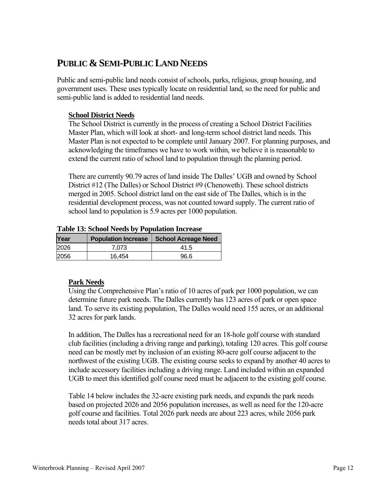# <span id="page-11-0"></span>**PUBLIC & SEMI-PUBLIC LAND NEEDS**

Public and semi-public land needs consist of schools, parks, religious, group housing, and government uses. These uses typically locate on residential land, so the need for public and semi-public land is added to residential land needs.

## **School District Needs**

The School District is currently in the process of creating a School District Facilities Master Plan, which will look at short- and long-term school district land needs. This Master Plan is not expected to be complete until January 2007. For planning purposes, and acknowledging the timeframes we have to work within, we believe it is reasonable to extend the current ratio of school land to population through the planning period.

There are currently 90.79 acres of land inside The Dalles' UGB and owned by School District #12 (The Dalles) or School District #9 (Chenoweth). These school districts merged in 2005. School district land on the east side of The Dalles, which is in the residential development process, was not counted toward supply. The current ratio of school land to population is 5.9 acres per 1000 population.

#### **Table 13: School Needs by Population Increase**

| Year | <b>Population Increase</b> | School Acreage Need |
|------|----------------------------|---------------------|
| 2026 | 7.073                      | 41.5                |
| 2056 | 16.454                     | 96.6                |

## **Park Needs**

Using the Comprehensive Plan's ratio of 10 acres of park per 1000 population, we can determine future park needs. The Dalles currently has 123 acres of park or open space land. To serve its existing population, The Dalles would need 155 acres, or an additional 32 acres for park lands.

In addition, The Dalles has a recreational need for an 18-hole golf course with standard club facilities (including a driving range and parking), totaling 120 acres. This golf course need can be mostly met by inclusion of an existing 80-acre golf course adjacent to the northwest of the existing UGB. The existing course seeks to expand by another 40 acres to include accessory facilities including a driving range. Land included within an expanded UGB to meet this identified golf course need must be adjacent to the existing golf course.

Table 14 below includes the 32-acre existing park needs, and expands the park needs based on projected 2026 and 2056 population increases, as well as need for the 120-acre golf course and facilities. Total 2026 park needs are about 223 acres, while 2056 park needs total about 317 acres.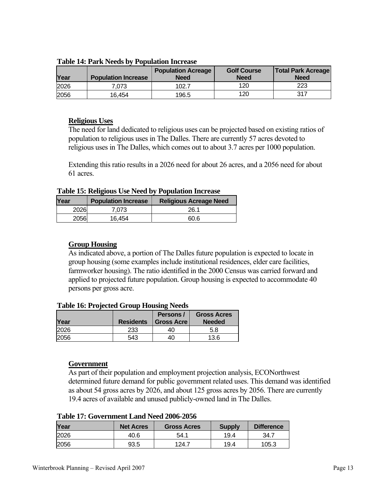| Year | <b>Population Increase</b> | <b>Population Acreage</b><br>Need | <b>Golf Course</b><br><b>Need</b> | <b>Total Park Acreage</b><br><b>Need</b> |
|------|----------------------------|-----------------------------------|-----------------------------------|------------------------------------------|
| 2026 | 7.073                      | 102.7                             | 120                               | 223                                      |
| 2056 | 16.454                     | 196.5                             | 120                               | 317                                      |

<span id="page-12-0"></span>**Table 14: Park Needs by Population Increase** 

#### **Religious Uses**

The need for land dedicated to religious uses can be projected based on existing ratios of population to religious uses in The Dalles. There are currently 57 acres devoted to religious uses in The Dalles, which comes out to about 3.7 acres per 1000 population.

Extending this ratio results in a 2026 need for about 26 acres, and a 2056 need for about 61 acres.

**Table 15: Religious Use Need by Population Increase** 

| <b>Year</b> | <b>Population Increase</b> | <b>Religious Acreage Need</b> |
|-------------|----------------------------|-------------------------------|
| 2026        | 7.073                      | 26.1                          |
| 2056        | 16.454                     | 60.6                          |

#### **Group Housing**

As indicated above, a portion of The Dalles future population is expected to locate in group housing (some examples include institutional residences, elder care facilities, farmworker housing). The ratio identified in the 2000 Census was carried forward and applied to projected future population. Group housing is expected to accommodate 40 persons per gross acre.

#### **Table 16: Projected Group Housing Needs**

| Year | <b>Residents</b> | Persons/<br><b>Gross Acre</b> | <b>Gross Acres</b><br><b>Needed</b> |
|------|------------------|-------------------------------|-------------------------------------|
| 2026 | 233              | 40                            | 5.8                                 |
| 056  | 543              | 40                            | 13.6                                |

#### **Government**

As part of their population and employment projection analysis, ECONorthwest determined future demand for public government related uses. This demand was identified as about 54 gross acres by 2026, and about 125 gross acres by 2056. There are currently 19.4 acres of available and unused publicly-owned land in The Dalles.

| Taon Tri Gorchmucht Dana Ficca 2000 2000 |                  |                    |               |                   |
|------------------------------------------|------------------|--------------------|---------------|-------------------|
| Year                                     | <b>Net Acres</b> | <b>Gross Acres</b> | <b>Supply</b> | <b>Difference</b> |
| 2026                                     | 40.6             | 54.1               | 19.4          | 34.7              |
| 2056                                     | 93.5             | 124.7              | 19.4          | 105.3             |

#### **Table 17: Government Land Need 2006-2056**